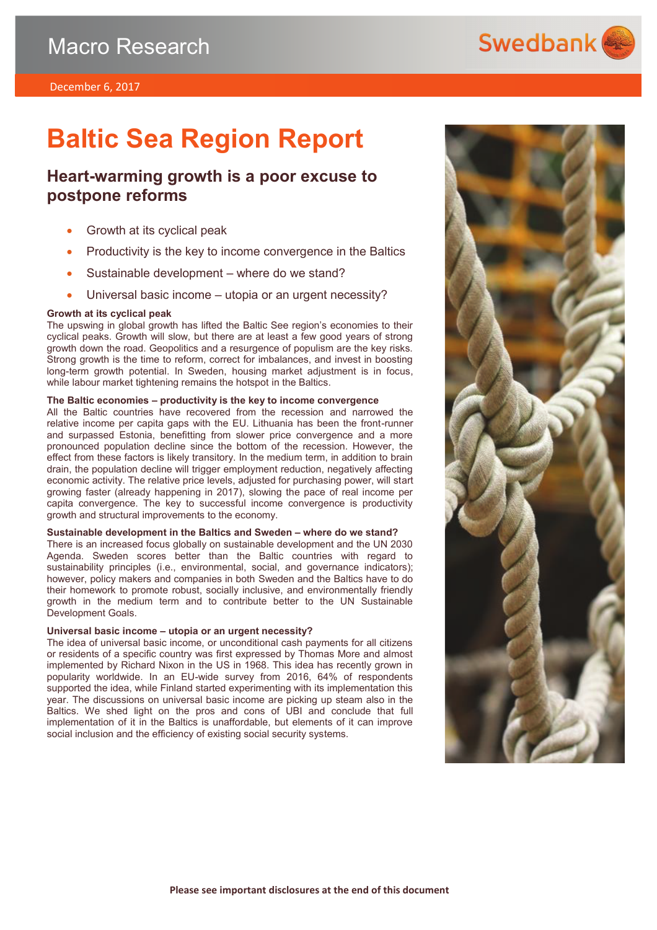

# **Baltic Sea Region Report**

### **Heart-warming growth is a poor excuse to postpone reforms**

- Growth at its cyclical peak
- Productivity is the key to income convergence in the Baltics
- Sustainable development where do we stand?
- Universal basic income utopia or an urgent necessity?

### **Growth at its cyclical peak**

The upswing in global growth has lifted the Baltic See region's economies to their cyclical peaks. Growth will slow, but there are at least a few good years of strong growth down the road. Geopolitics and a resurgence of populism are the key risks. Strong growth is the time to reform, correct for imbalances, and invest in boosting long-term growth potential. In Sweden, housing market adjustment is in focus, while labour market tightening remains the hotspot in the Baltics.

### **The Baltic economies – productivity is the key to income convergence**

All the Baltic countries have recovered from the recession and narrowed the relative income per capita gaps with the EU. Lithuania has been the front-runner and surpassed Estonia, benefitting from slower price convergence and a more pronounced population decline since the bottom of the recession. However, the effect from these factors is likely transitory. In the medium term, in addition to brain drain, the population decline will trigger employment reduction, negatively affecting economic activity. The relative price levels, adjusted for purchasing power, will start growing faster (already happening in 2017), slowing the pace of real income per capita convergence. The key to successful income convergence is productivity growth and structural improvements to the economy.

### **Sustainable development in the Baltics and Sweden – where do we stand?**

There is an increased focus globally on sustainable development and the UN 2030 Agenda. Sweden scores better than the Baltic countries with regard to sustainability principles (i.e., environmental, social, and governance indicators); however, policy makers and companies in both Sweden and the Baltics have to do their homework to promote robust, socially inclusive, and environmentally friendly growth in the medium term and to contribute better to the UN Sustainable Development Goals.

### **Universal basic income – utopia or an urgent necessity?**

The idea of universal basic income, or unconditional cash payments for all citizens or residents of a specific country was first expressed by Thomas More and almost implemented by Richard Nixon in the US in 1968. This idea has recently grown in popularity worldwide. In an EU-wide survey from 2016, 64% of respondents supported the idea, while Finland started experimenting with its implementation this year. The discussions on universal basic income are picking up steam also in the Baltics. We shed light on the pros and cons of UBI and conclude that full implementation of it in the Baltics is unaffordable, but elements of it can improve social inclusion and the efficiency of existing social security systems.

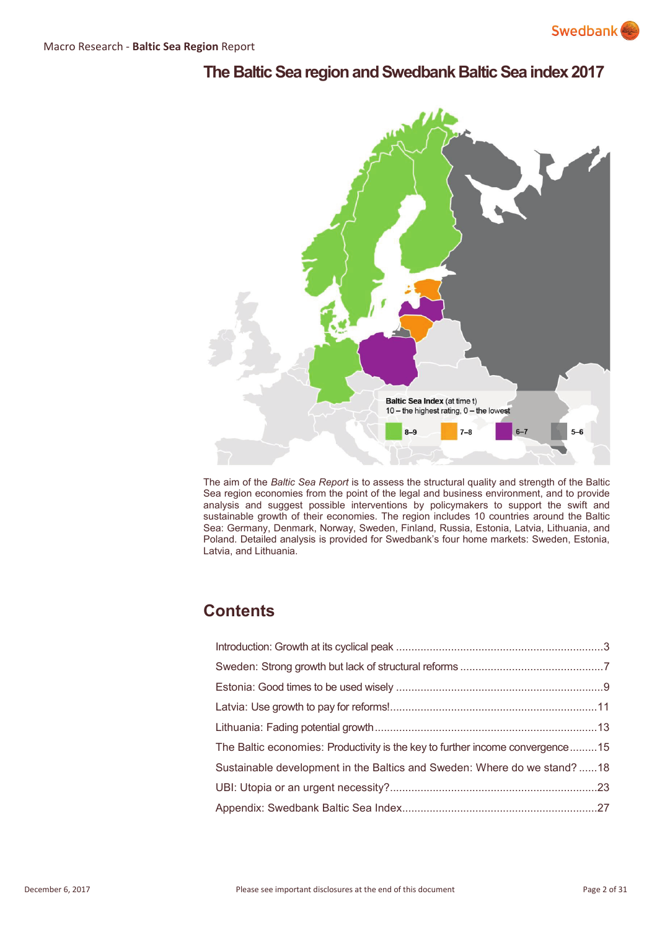## **The Baltic Sea region and Swedbank Baltic Sea index 2017**



The aim of the *Baltic Sea Report* is to assess the structural quality and strength of the Baltic Sea region economies from the point of the legal and business environment, and to provide analysis and suggest possible interventions by policymakers to support the swift and sustainable growth of their economies. The region includes 10 countries around the Baltic Sea: Germany, Denmark, Norway, Sweden, Finland, Russia, Estonia, Latvia, Lithuania, and Poland. Detailed analysis is provided for Swedbank's four home markets: Sweden, Estonia, Latvia, and Lithuania.

# **Contents**

| The Baltic economies: Productivity is the key to further income convergence15 |  |
|-------------------------------------------------------------------------------|--|
| Sustainable development in the Baltics and Sweden: Where do we stand?18       |  |
|                                                                               |  |
|                                                                               |  |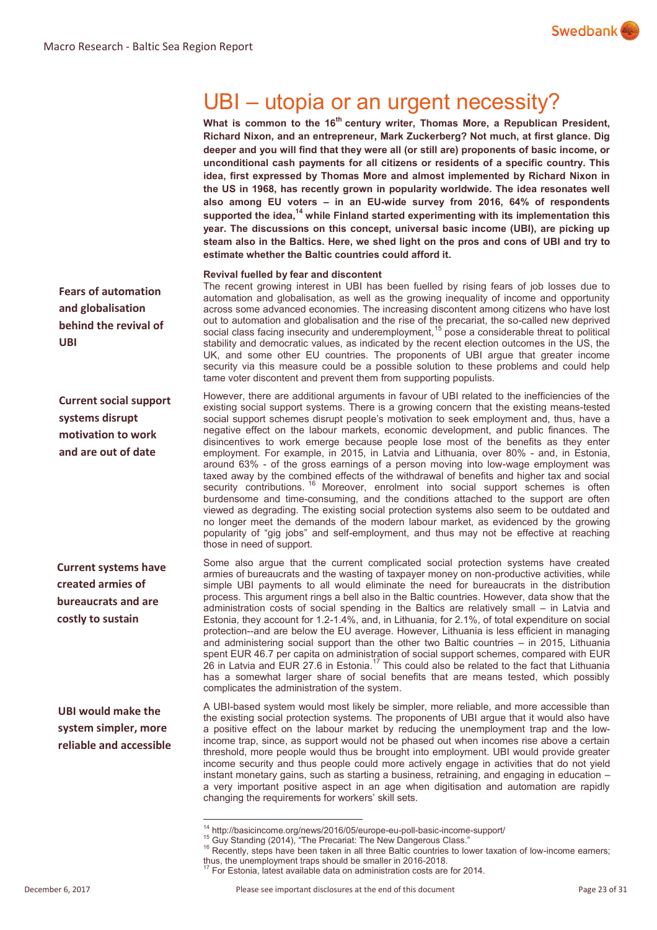

# UBI – utopia or an urgent necessity?

What is common to the 16<sup>th</sup> century writer, Thomas More, a Republican President, **Richard Nixon, and an entrepreneur, Mark Zuckerberg? Not much, at first glance. Dig deeper and you will find that they were all (or still are) proponents of basic income, or unconditional cash payments for all citizens or residents of a specific country. This idea, first expressed by Thomas More and almost implemented by Richard Nixon in the US in 1968, has recently grown in popularity worldwide. The idea resonates well also among EU voters – in an EU-wide survey from 2016, 64% of respondents supported the idea,<sup>14</sup> while Finland started experimenting with its implementation this year. The discussions on this concept, universal basic income (UBI), are picking up steam also in the Baltics. Here, we shed light on the pros and cons of UBI and try to estimate whether the Baltic countries could afford it.** 

### **Revival fuelled by fear and discontent**

The recent growing interest in UBI has been fuelled by rising fears of job losses due to automation and globalisation, as well as the growing inequality of income and opportunity across some advanced economies. The increasing discontent among citizens who have lost out to automation and globalisation and the rise of the precariat, the so-called new deprived social class facing insecurity and underemployment,<sup>15</sup> pose a considerable threat to political stability and democratic values, as indicated by the recent election outcomes in the US, the UK, and some other EU countries. The proponents of UBI argue that greater income security via this measure could be a possible solution to these problems and could help tame voter discontent and prevent them from supporting populists.

However, there are additional arguments in favour of UBI related to the inefficiencies of the existing social support systems. There is a growing concern that the existing means-tested social support schemes disrupt people's motivation to seek employment and, thus, have a negative effect on the labour markets, economic development, and public finances. The disincentives to work emerge because people lose most of the benefits as they enter employment. For example, in 2015, in Latvia and Lithuania, over 80% - and, in Estonia, around 63% - of the gross earnings of a person moving into low-wage employment was taxed away by the combined effects of the withdrawal of benefits and higher tax and social security contributions. <sup>16</sup> Moreover, enrolment into social support schemes is often burdensome and time-consuming, and the conditions attached to the support are often viewed as degrading. The existing social protection systems also seem to be outdated and no longer meet the demands of the modern labour market, as evidenced by the growing popularity of "gig jobs" and self-employment, and thus may not be effective at reaching those in need of support.

Some also argue that the current complicated social protection systems have created armies of bureaucrats and the wasting of taxpayer money on non-productive activities, while simple UBI payments to all would eliminate the need for bureaucrats in the distribution process. This argument rings a bell also in the Baltic countries. However, data show that the administration costs of social spending in the Baltics are relatively small – in Latvia and Estonia, they account for 1.2-1.4%, and, in Lithuania, for 2.1%, of total expenditure on social protection--and are below the EU average. However, Lithuania is less efficient in managing and administering social support than the other two Baltic countries – in 2015, Lithuania spent EUR 46.7 per capita on administration of social support schemes, compared with EUR  $26$  in Latvia and EUR 27.6 in Estonia.<sup>17</sup> This could also be related to the fact that Lithuania has a somewhat larger share of social benefits that are means tested, which possibly complicates the administration of the system.

A UBI-based system would most likely be simpler, more reliable, and more accessible than the existing social protection systems. The proponents of UBI argue that it would also have a positive effect on the labour market by reducing the unemployment trap and the lowincome trap, since, as support would not be phased out when incomes rise above a certain threshold, more people would thus be brought into employment. UBI would provide greater income security and thus people could more actively engage in activities that do not yield instant monetary gains, such as starting a business, retraining, and engaging in education – a very important positive aspect in an age when digitisation and automation are rapidly changing the requirements for workers' skill sets.

**Fears of automation and globalisation behind the revival of UBI**

**Current social support systems disrupt motivation to work and are out of date**

**Current systems have created armies of bureaucrats and are costly to sustain**

**UBI would make the system simpler, more reliable and accessible** 

 $\overline{a}$ 

<sup>&</sup>lt;sup>14</sup> http://basicincome.org/news/2016/05/europe-eu-poll-basic-income-support/

<sup>&</sup>lt;sup>15</sup> Guy Standing (2014), "The Precariat: The New Dangerous Class."

<sup>&</sup>lt;sup>16</sup> Recently, steps have been taken in all three Baltic countries to lower taxation of low-income earners; thus, the unemployment traps should be smaller in 2016-2018.

 $\sqrt{17}$  For Estonia, latest available data on administration costs are for 2014.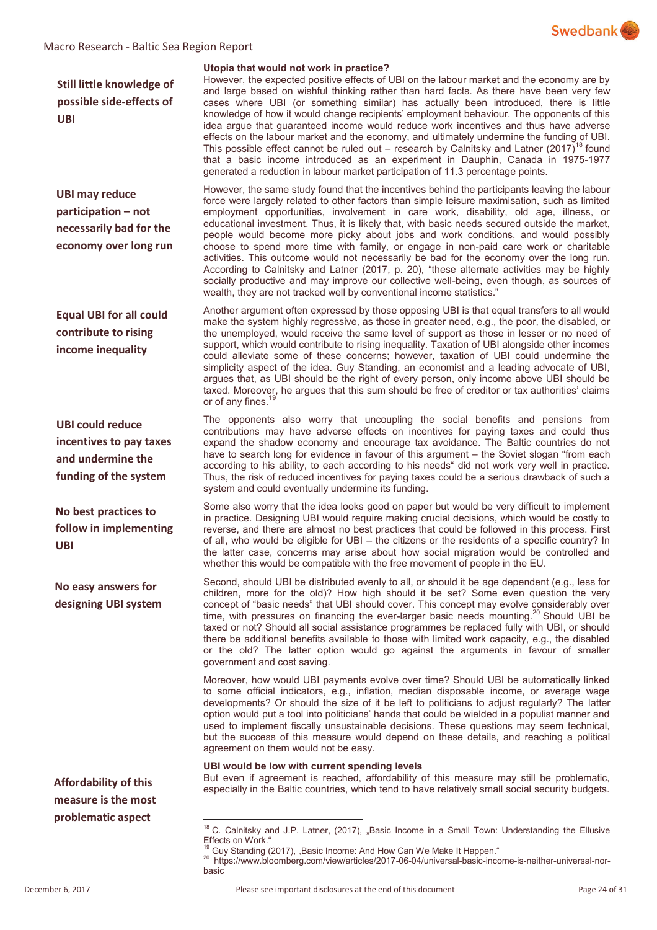

### Macro Research - Baltic Sea Region Report

**Still little knowledge of possible side-effects of UBI**

**UBI may reduce participation – not necessarily bad for the economy over long run** 

**Equal UBI for all could contribute to rising income inequality**

**UBI could reduce incentives to pay taxes and undermine the funding of the system** 

**No best practices to follow in implementing UBI**

**No easy answers for designing UBI system** 

**Affordability of this measure is the most problematic aspect**

 $\overline{a}$ 

### **Utopia that would not work in practice?**

However, the expected positive effects of UBI on the labour market and the economy are by and large based on wishful thinking rather than hard facts. As there have been very few cases where UBI (or something similar) has actually been introduced, there is little knowledge of how it would change recipients' employment behaviour. The opponents of this idea argue that guaranteed income would reduce work incentives and thus have adverse effects on the labour market and the economy, and ultimately undermine the funding of UBI. This possible effect cannot be ruled out – research by Calnitsky and Latner (2017)<sup>18</sup> found that a basic income introduced as an experiment in Dauphin, Canada in 1975-1977 generated a reduction in labour market participation of 11.3 percentage points.

However, the same study found that the incentives behind the participants leaving the labour force were largely related to other factors than simple leisure maximisation, such as limited employment opportunities, involvement in care work, disability, old age, illness, or educational investment. Thus, it is likely that, with basic needs secured outside the market, people would become more picky about jobs and work conditions, and would possibly choose to spend more time with family, or engage in non-paid care work or charitable activities. This outcome would not necessarily be bad for the economy over the long run. According to Calnitsky and Latner (2017, p. 20), "these alternate activities may be highly socially productive and may improve our collective well-being, even though, as sources of wealth, they are not tracked well by conventional income statistics."

Another argument often expressed by those opposing UBI is that equal transfers to all would make the system highly regressive, as those in greater need, e.g., the poor, the disabled, or the unemployed, would receive the same level of support as those in lesser or no need of support, which would contribute to rising inequality. Taxation of UBI alongside other incomes could alleviate some of these concerns; however, taxation of UBI could undermine the simplicity aspect of the idea. Guy Standing, an economist and a leading advocate of UBI, argues that, as UBI should be the right of every person, only income above UBI should be taxed. Moreover, he argues that this sum should be free of creditor or tax authorities' claims or of any fines.

The opponents also worry that uncoupling the social benefits and pensions from contributions may have adverse effects on incentives for paying taxes and could thus expand the shadow economy and encourage tax avoidance. The Baltic countries do not have to search long for evidence in favour of this argument – the Soviet slogan "from each according to his ability, to each according to his needs" did not work very well in practice. Thus, the risk of reduced incentives for paying taxes could be a serious drawback of such a system and could eventually undermine its funding.

Some also worry that the idea looks good on paper but would be very difficult to implement in practice. Designing UBI would require making crucial decisions, which would be costly to reverse, and there are almost no best practices that could be followed in this process. First of all, who would be eligible for UBI – the citizens or the residents of a specific country? In the latter case, concerns may arise about how social migration would be controlled and whether this would be compatible with the free movement of people in the EU.

Second, should UBI be distributed evenly to all, or should it be age dependent (e.g., less for children, more for the old)? How high should it be set? Some even question the very concept of "basic needs" that UBI should cover. This concept may evolve considerably over time, with pressures on financing the ever-larger basic needs mounting.<sup>20</sup> Should UBI be taxed or not? Should all social assistance programmes be replaced fully with UBI, or should there be additional benefits available to those with limited work capacity, e.g., the disabled or the old? The latter option would go against the arguments in favour of smaller government and cost saving.

Moreover, how would UBI payments evolve over time? Should UBI be automatically linked to some official indicators, e.g., inflation, median disposable income, or average wage developments? Or should the size of it be left to politicians to adjust regularly? The latter option would put a tool into politicians' hands that could be wielded in a populist manner and used to implement fiscally unsustainable decisions. These questions may seem technical, but the success of this measure would depend on these details, and reaching a political agreement on them would not be easy.

### **UBI would be low with current spending levels**

But even if agreement is reached, affordability of this measure may still be problematic, especially in the Baltic countries, which tend to have relatively small social security budgets.

 $18$  C. Calnitsky and J.P. Latner, (2017), "Basic Income in a Small Town: Understanding the Ellusive Effects on Work."

Guy Standing (2017), "Basic Income: And How Can We Make It Happen."

<sup>20</sup> https://www.bloomberg.com/view/articles/2017-06-04/universal-basic-income-is-neither-universal-norbasic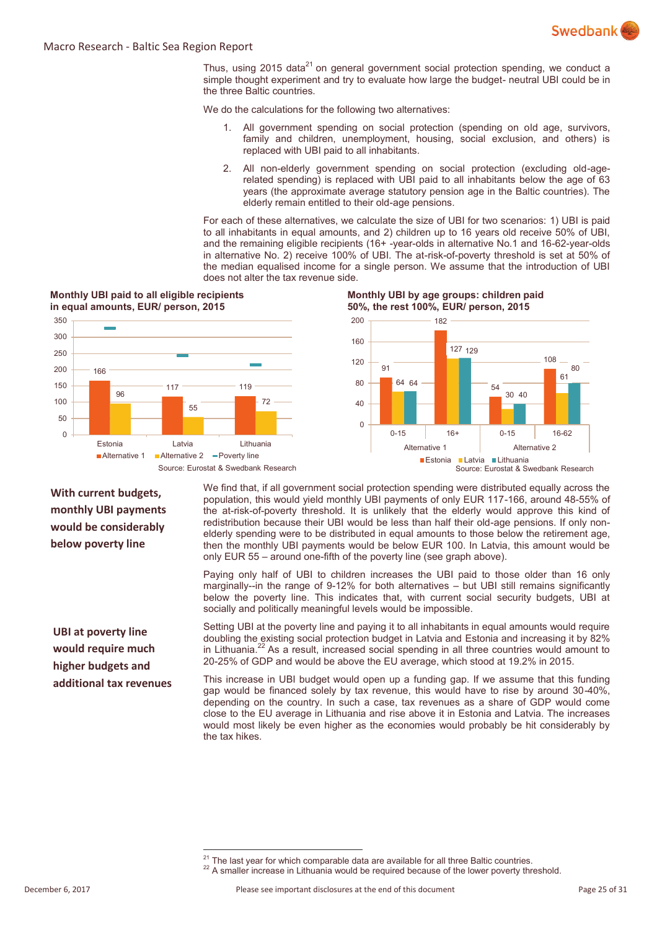

Thus, using 2015 data<sup>21</sup> on general government social protection spending, we conduct a simple thought experiment and try to evaluate how large the budget- neutral UBI could be in the three Baltic countries.

We do the calculations for the following two alternatives:

- 1. All government spending on social protection (spending on old age, survivors, family and children, unemployment, housing, social exclusion, and others) is replaced with UBI paid to all inhabitants.
- 2. All non-elderly government spending on social protection (excluding old-agerelated spending) is replaced with UBI paid to all inhabitants below the age of 63 years (the approximate average statutory pension age in the Baltic countries). The elderly remain entitled to their old-age pensions.

For each of these alternatives, we calculate the size of UBI for two scenarios: 1) UBI is paid to all inhabitants in equal amounts, and 2) children up to 16 years old receive 50% of UBI, and the remaining eligible recipients (16+ -year-olds in alternative No.1 and 16-62-year-olds in alternative No. 2) receive 100% of UBI. The at-risk-of-poverty threshold is set at 50% of the median equalised income for a single person. We assume that the introduction of UBI does not alter the tax revenue side.



**With current budgets, monthly UBI payments would be considerably below poverty line** 

**UBI at poverty line would require much higher budgets and additional tax revenues** 

 $\overline{a}$ 

We find that, if all government social protection spending were distributed equally across the population, this would yield monthly UBI payments of only EUR 117-166, around 48-55% of the at-risk-of-poverty threshold. It is unlikely that the elderly would approve this kind of redistribution because their UBI would be less than half their old-age pensions. If only nonelderly spending were to be distributed in equal amounts to those below the retirement age, then the monthly UBI payments would be below EUR 100. In Latvia, this amount would be only EUR 55 – around one-fifth of the poverty line (see graph above).

Paying only half of UBI to children increases the UBI paid to those older than 16 only marginally--in the range of 9-12% for both alternatives – but UBI still remains significantly below the poverty line. This indicates that, with current social security budgets, UBI at socially and politically meaningful levels would be impossible.

Setting UBI at the poverty line and paying it to all inhabitants in equal amounts would require doubling the existing social protection budget in Latvia and Estonia and increasing it by 82% in Lithuania.<sup>22</sup> As a result, increased social spending in all three countries would amount to 20-25% of GDP and would be above the EU average, which stood at 19.2% in 2015.

This increase in UBI budget would open up a funding gap. If we assume that this funding gap would be financed solely by tax revenue, this would have to rise by around 30-40%, depending on the country. In such a case, tax revenues as a share of GDP would come close to the EU average in Lithuania and rise above it in Estonia and Latvia. The increases would most likely be even higher as the economies would probably be hit considerably by the tax hikes.

 $21$  The last year for which comparable data are available for all three Baltic countries. <sup>22</sup> A smaller increase in Lithuania would be required because of the lower poverty threshold.